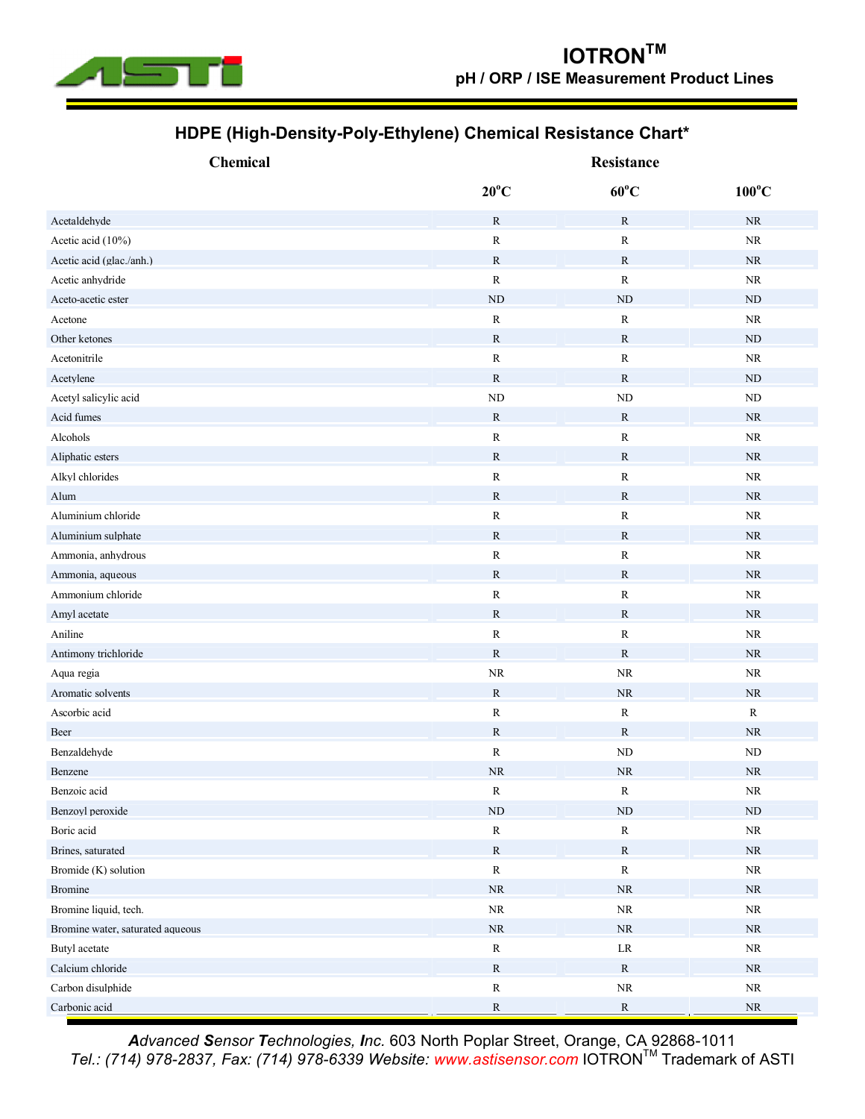

## **HDPE (High-Density-Poly-Ethylene) Chemical Resistance Chart\***

| <b>Chemical</b>                  | Resistance     |                |                 |
|----------------------------------|----------------|----------------|-----------------|
|                                  | $20^{\circ}$ C | $60^{\circ}$ C | $100^{\circ}$ C |
| Acetaldehyde                     | $\mathbb{R}$   | $\mathbb{R}$   | $\rm NR$        |
| Acetic acid (10%)                | ${\bf R}$      | ${\bf R}$      | $\rm NR$        |
| Acetic acid (glac./anh.)         | $\mathbb{R}$   | $\mathbb{R}$   | <b>NR</b>       |
| Acetic anhydride                 | ${\bf R}$      | ${\bf R}$      | <b>NR</b>       |
| Aceto-acetic ester               | ND             | ND             | <b>ND</b>       |
| Acetone                          | ${\bf R}$      | $\mathbb R$    | $\rm NR$        |
| Other ketones                    | $\mathbb{R}$   | $\mathbf R$    | <b>ND</b>       |
| Acetonitrile                     | ${\bf R}$      | ${\bf R}$      | $\rm NR$        |
| Acetylene                        | ${\bf R}$      | $\mathbb{R}$   | ND              |
| Acetyl salicylic acid            | $\rm ND$       | ND             | ND              |
| Acid fumes                       | $\mathbf R$    | $\mathbb{R}$   | <b>NR</b>       |
| Alcohols                         | ${\bf R}$      | $\mathbb R$    | <b>NR</b>       |
| Aliphatic esters                 | $\mathbf R$    | $\mathbb{R}$   | <b>NR</b>       |
| Alkyl chlorides                  | ${\bf R}$      | ${\bf R}$      | NR              |
| Alum                             | ${\bf R}$      | ${\bf R}$      | NR              |
| Aluminium chloride               | ${\bf R}$      | R              | <b>NR</b>       |
| Aluminium sulphate               | $\mathbb{R}$   | R              | <b>NR</b>       |
| Ammonia, anhydrous               | ${\bf R}$      | R              | NR              |
| Ammonia, aqueous                 | ${\bf R}$      | ${\bf R}$      | <b>NR</b>       |
| Ammonium chloride                | $\mathbf R$    | ${\bf R}$      | NR              |
| Amyl acetate                     | $\mathbb{R}$   | $\mathbf R$    | <b>NR</b>       |
| Aniline                          | ${\bf R}$      | $\mathbb R$    | $\rm NR$        |
| Antimony trichloride             | $\mathbb{R}$   | $\mathbb{R}$   | NR              |
| Aqua regia                       | <b>NR</b>      | <b>NR</b>      | $\rm NR$        |
| Aromatic solvents                | $\mathbf R$    | <b>NR</b>      | <b>NR</b>       |
| Ascorbic acid                    | ${\bf R}$      | ${\bf R}$      | $\mathbb{R}$    |
| Beer                             | ${\bf R}$      | R              | <b>NR</b>       |
| Benzaldehyde                     | ${\bf R}$      | ND             | <b>ND</b>       |
| Benzene                          | NR             | <b>NR</b>      | NR              |
| Benzoic acid                     | ${\bf R}$      | ${\bf R}$      | $\rm NR$        |
| Benzoyl peroxide                 | $\rm ND$       | ${\rm ND}$     | $\rm ND$        |
| Boric acid                       | ${\bf R}$      | ${\bf R}$      | $\rm NR$        |
| Brines, saturated                | ${\bf R}$      | ${\bf R}$      | $\rm NR$        |
| Bromide (K) solution             | ${\bf R}$      | ${\bf R}$      | $\rm NR$        |
| Bromine                          | $\rm NR$       | $\rm NR$       | $\rm NR$        |
| Bromine liquid, tech.            | $\rm NR$       | $\rm NR$       | $\rm NR$        |
| Bromine water, saturated aqueous | $\rm NR$       | $\rm NR$       | NR              |
| Butyl acetate                    | ${\bf R}$      | $\rm LR$       | $\rm NR$        |
| Calcium chloride                 | ${\bf R}$      | $\mathbb{R}$   | $\rm NR$        |
| Carbon disulphide                | ${\bf R}$      | $\rm NR$       | $\rm NR$        |
| Carbonic acid                    | ${\bf R}$      | ${\bf R}$      | $\rm NR$        |

*Advanced Sensor Technologies, Inc.* 603 North Poplar Street, Orange, CA 92868-1011 *Tel.: (714) 978-2837, Fax: (714) 978-6339 Website: [www.astisensor.com](http://www.astisensor.com)* IOTRONTM Trademark of ASTI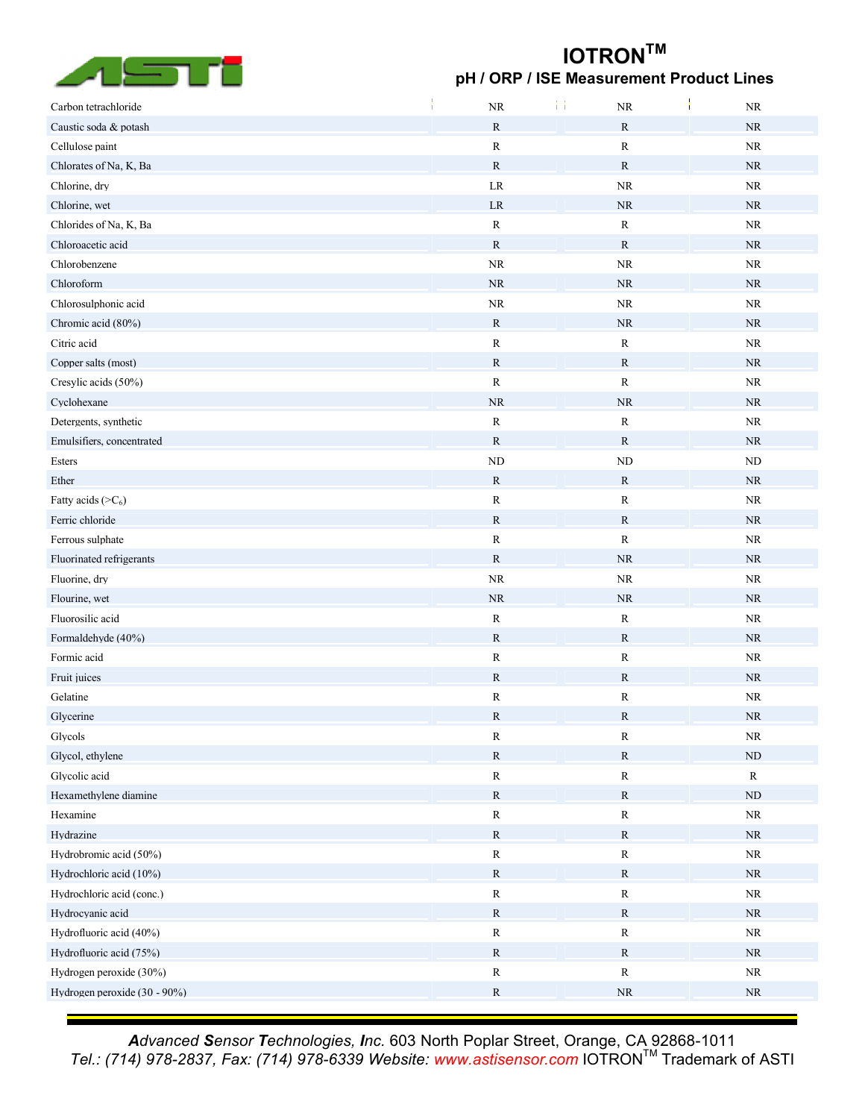

## **IOTRONTM pH / ORP / ISE Measurement Product Lines**

| Carbon tetrachloride         | <b>NR</b>    | $\rm NR$     | NR        |
|------------------------------|--------------|--------------|-----------|
| Caustic soda & potash        | ${\bf R}$    | $\mathbb{R}$ | NR        |
| Cellulose paint              | ${\bf R}$    | ${\bf R}$    | <b>NR</b> |
| Chlorates of Na, K, Ba       | ${\bf R}$    | $\mathbb{R}$ | NR        |
| Chlorine, dry                | $\rm LR$     | $\rm NR$     | $\rm NR$  |
| Chlorine, wet                | $\rm LR$     | $\rm NR$     | <b>NR</b> |
| Chlorides of Na, K, Ba       | ${\bf R}$    | ${\bf R}$    | <b>NR</b> |
| Chloroacetic acid            | $\mathbb{R}$ | $\mathbb{R}$ | <b>NR</b> |
| Chlorobenzene                | $\rm NR$     | $\rm NR$     | <b>NR</b> |
| Chloroform                   | <b>NR</b>    | <b>NR</b>    | NR        |
| Chlorosulphonic acid         | $\rm NR$     | $\rm NR$     | <b>NR</b> |
| Chromic acid (80%)           | ${\bf R}$    | $\rm NR$     | <b>NR</b> |
| Citric acid                  | ${\bf R}$    | ${\bf R}$    | <b>NR</b> |
| Copper salts (most)          | $\mathbb{R}$ | $\mathbb{R}$ | <b>NR</b> |
| Cresylic acids (50%)         | ${\bf R}$    | ${\bf R}$    | <b>NR</b> |
| Cyclohexane                  | $\rm NR$     | $\rm NR$     | <b>NR</b> |
| Detergents, synthetic        | ${\bf R}$    | ${\bf R}$    | $\rm NR$  |
| Emulsifiers, concentrated    | ${\bf R}$    | $\mathbb{R}$ | <b>NR</b> |
| Esters                       | ${\rm ND}$   | $\rm ND$     | ND        |
| Ether                        | ${\bf R}$    | $\mathbb{R}$ | <b>NR</b> |
| Fatty acids $(>C_6)$         | ${\bf R}$    | ${\bf R}$    | <b>NR</b> |
| Ferric chloride              | ${\bf R}$    | $\mathbb{R}$ | <b>NR</b> |
| Ferrous sulphate             | ${\bf R}$    | $\mathbb{R}$ | <b>NR</b> |
| Fluorinated refrigerants     | ${\bf R}$    | $\rm NR$     | <b>NR</b> |
| Fluorine, dry                | $\rm NR$     | $\rm NR$     | <b>NR</b> |
| Flourine, wet                | <b>NR</b>    | <b>NR</b>    | <b>NR</b> |
| Fluorosilic acid             | ${\bf R}$    | ${\bf R}$    | <b>NR</b> |
| Formaldehyde (40%)           | $\mathbb{R}$ | $\mathbb{R}$ | <b>NR</b> |
| Formic acid                  | ${\bf R}$    | $\mathbb{R}$ | <b>NR</b> |
| Fruit juices                 | ${\bf R}$    | $\mathbb{R}$ | <b>NR</b> |
| Gelatine                     | ${\bf R}$    | R            | <b>NR</b> |
| Glycerine                    | ${\bf R}$    | R            | <b>NR</b> |
| Glycols                      | ${\bf R}$    | ${\bf R}$    | $\rm NR$  |
| Glycol, ethylene             | ${\bf R}$    | ${\bf R}$    | $\rm ND$  |
| Glycolic acid                | ${\bf R}$    | R            | ${\bf R}$ |
| Hexamethylene diamine        | ${\bf R}$    | ${\bf R}$    | <b>ND</b> |
| Hexamine                     | ${\bf R}$    | ${\bf R}$    | $\rm NR$  |
| Hydrazine                    | ${\bf R}$    | ${\bf R}$    | NR        |
| Hydrobromic acid (50%)       | ${\bf R}$    | ${\bf R}$    | $\rm NR$  |
| Hydrochloric acid (10%)      | ${\bf R}$    | $\mathbb{R}$ | <b>NR</b> |
| Hydrochloric acid (conc.)    | ${\bf R}$    | R            | $\rm NR$  |
| Hydrocyanic acid             | ${\bf R}$    | ${\bf R}$    | $\rm NR$  |
| Hydrofluoric acid (40%)      | ${\bf R}$    | ${\bf R}$    | $\rm NR$  |
| Hydrofluoric acid (75%)      | ${\bf R}$    | $\mathbb{R}$ | <b>NR</b> |
| Hydrogen peroxide (30%)      | ${\bf R}$    | ${\bf R}$    | $\rm NR$  |
| Hydrogen peroxide (30 - 90%) | ${\bf R}$    | ${\rm NR}$   | <b>NR</b> |
|                              |              |              |           |

*Advanced Sensor Technologies, Inc.* 603 North Poplar Street, Orange, CA 92868-1011 *Tel.: (714) 978-2837, Fax: (714) 978-6339 Website: [www.astisensor.com](http://www.astisensor.com)* IOTRONTM Trademark of ASTI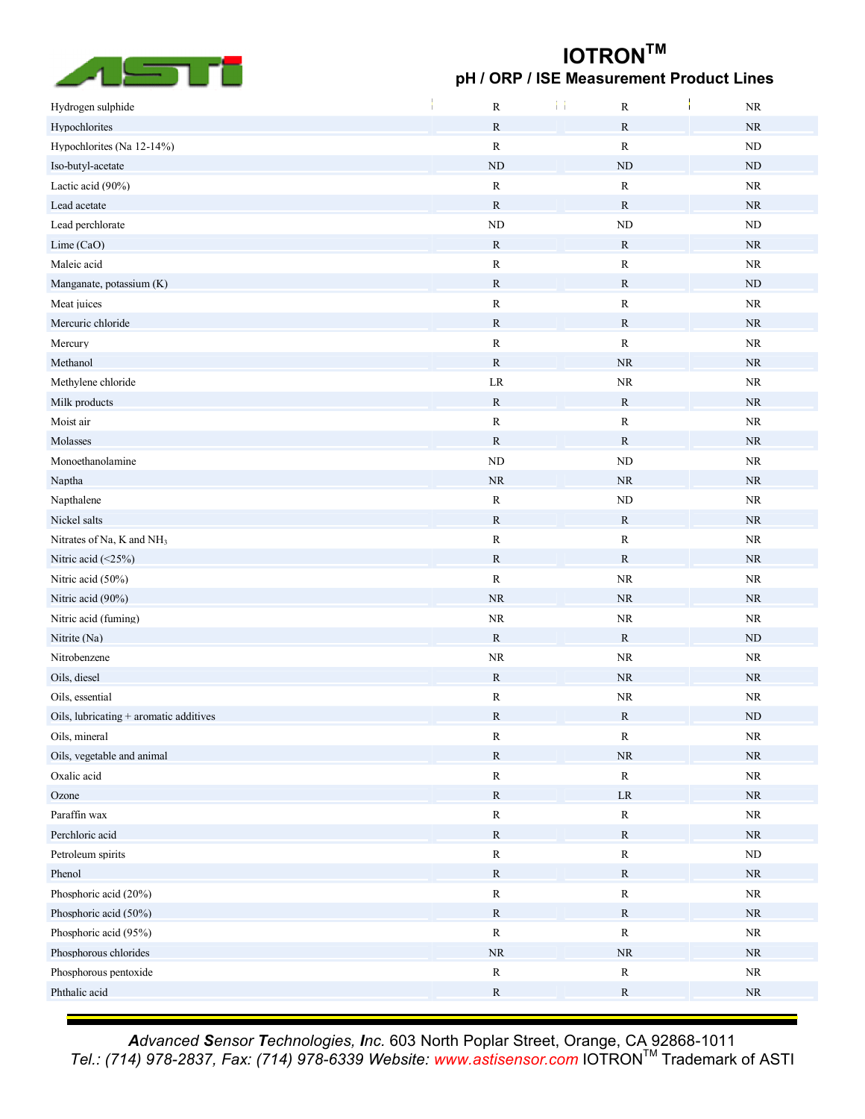

## **IOTRONTM pH / ORP / ISE Measurement Product Lines**

| Hydrogen sulphide                        | ${\bf R}$    | $\mathbb R$  | $\rm NR$   |
|------------------------------------------|--------------|--------------|------------|
| Hypochlorites                            | ${\bf R}$    | ${\bf R}$    | $\rm NR$   |
| Hypochlorites (Na 12-14%)                | ${\bf R}$    | ${\bf R}$    | ND         |
| Iso-butyl-acetate                        | $\rm ND$     | ND           | <b>ND</b>  |
| Lactic acid (90%)                        | ${\bf R}$    | ${\bf R}$    | $\rm NR$   |
| Lead acetate                             | ${\bf R}$    | $\mathbb{R}$ | <b>NR</b>  |
| Lead perchlorate                         | $\rm ND$     | ${\rm ND}$   | $\rm ND$   |
| Lime (CaO)                               | ${\bf R}$    | $\mathbf R$  | <b>NR</b>  |
| Maleic acid                              | ${\bf R}$    | R            | NR         |
| Manganate, potassium (K)                 | ${\bf R}$    | $\mathbb{R}$ | <b>ND</b>  |
| Meat juices                              | ${\bf R}$    | R            | NR         |
| Mercuric chloride                        | ${\bf R}$    | $\mathbb{R}$ | <b>NR</b>  |
| Mercury                                  | ${\bf R}$    | R            | NR         |
| Methanol                                 | $\mathbb{R}$ | <b>NR</b>    | <b>NR</b>  |
| Methylene chloride                       | $\rm LR$     | $\rm NR$     | $\rm NR$   |
| Milk products                            | ${\bf R}$    | ${\bf R}$    | NR         |
| Moist air                                | ${\bf R}$    | ${\bf R}$    | NR         |
| Molasses                                 | ${\bf R}$    | $\mathbb{R}$ | <b>NR</b>  |
| Monoethanolamine                         | ND           | $\rm ND$     | NR         |
| Naptha                                   | $\rm NR$     | <b>NR</b>    | <b>NR</b>  |
| Napthalene                               | ${\bf R}$    | ${\rm ND}$   | $\rm NR$   |
| Nickel salts                             | $\mathbb{R}$ | $\mathbb{R}$ | NR         |
| Nitrates of Na, K and NH <sub>3</sub>    | ${\bf R}$    | ${\bf R}$    | $\rm NR$   |
| Nitric acid $(\leq 25\%)$                | ${\bf R}$    | $\mathbb{R}$ | <b>NR</b>  |
| Nitric acid (50%)                        | ${\bf R}$    | <b>NR</b>    | $\rm NR$   |
| Nitric acid (90%)                        | $\rm NR$     | $\rm NR$     | <b>NR</b>  |
| Nitric acid (fuming)                     | $\rm NR$     | $\rm NR$     | $\rm NR$   |
| Nitrite (Na)                             | ${\bf R}$    | $\mathbb{R}$ | <b>ND</b>  |
| Nitrobenzene                             | $\rm NR$     | $\rm NR$     | $\rm NR$   |
| Oils, diesel                             | ${\bf R}$    | <b>NR</b>    | NR         |
| Oils, essential                          | ${\bf R}$    | <b>NR</b>    | NR         |
| Oils, lubricating $+$ aromatic additives | $\mathbb{R}$ | $\mathbb{R}$ | <b>ND</b>  |
| Oils, mineral                            | ${\bf R}$    | ${\bf R}$    | $\rm NR$   |
| Oils, vegetable and animal               | ${\bf R}$    | $\rm NR$     | $\rm NR$   |
| Oxalic acid                              | ${\bf R}$    | ${\bf R}$    | $\rm NR$   |
| Ozone                                    | ${\bf R}$    | ${\rm LR}$   | $\rm NR$   |
| Paraffin wax                             | ${\bf R}$    | ${\bf R}$    | $\rm NR$   |
| Perchloric acid                          | ${\bf R}$    | $\mathbb{R}$ | $\rm NR$   |
| Petroleum spirits                        | ${\bf R}$    | ${\bf R}$    | $\rm ND$   |
| Phenol                                   | ${\bf R}$    | ${\bf R}$    | $\rm NR$   |
| Phosphoric acid (20%)                    | ${\bf R}$    | ${\bf R}$    | $\rm NR$   |
| Phosphoric acid (50%)                    | ${\bf R}$    | ${\bf R}$    | $\rm NR$   |
| Phosphoric acid (95%)                    | ${\bf R}$    | ${\bf R}$    | ${\rm NR}$ |
| Phosphorous chlorides                    | $\rm NR$     | $\rm NR$     | $\rm NR$   |
| Phosphorous pentoxide                    | ${\bf R}$    | ${\bf R}$    | $\rm NR$   |
| Phthalic acid                            | ${\bf R}$    | $\mathbb{R}$ | $\rm NR$   |
|                                          |              |              |            |

*Advanced Sensor Technologies, Inc.* 603 North Poplar Street, Orange, CA 92868-1011 *Tel.: (714) 978-2837, Fax: (714) 978-6339 Website: [www.astisensor.com](http://www.astisensor.com)* IOTRONTM Trademark of ASTI